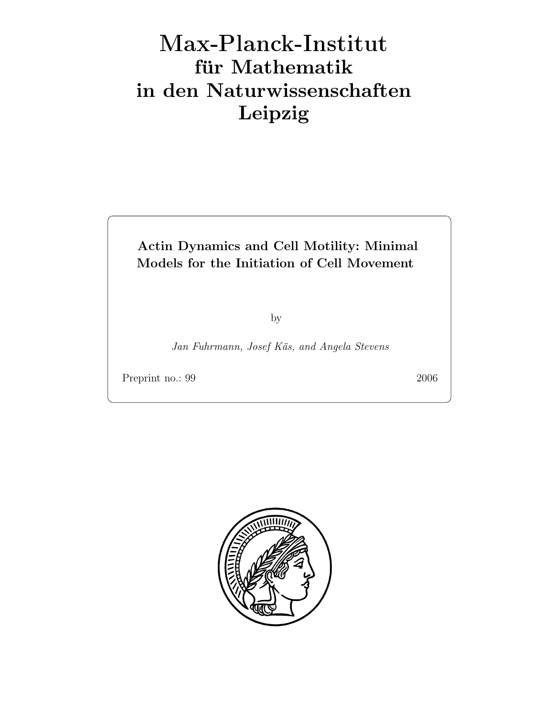# Max-Plan
k-Institut für Mathematik in den Naturwissenschaften Leipzig

# Actin Dynamics and Cell Motility: Minimal Models for the Initiation of Cell Movement

by

Jan Fuhrmann, Josef Käs, and Angela Stevens

Preprint no.: 99 2006

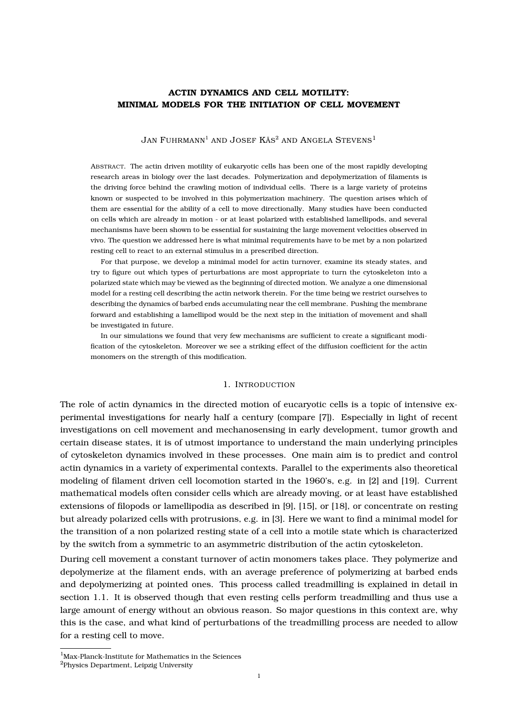# **ACTIN DYNAMICS AND CELL MOTILITY: MINIMAL MODELS FOR THE INITIATION OF CELL MOVEMENT**

Jan Fuhrmann $^{\rm l}$  and Josef Käs $^{\rm 2}$  and Angela Stevens $^{\rm l}$ 

ABSTRACT. The actin driven motility of eukaryotic cells has been one of the most rapidly developing research areas in biology over the last decades. Polymerization and depolymerization of filaments is the driving force behind the crawling motion of individual cells. There is a large variety of proteins known or suspected to be involved in this polymerization machinery. The question arises which of them are essential for the ability of a cell to move directionally. Many studies have been conducted on cells which are already in motion - or at least polarized with established lamellipods, and several mechanisms have been shown to be essential for sustaining the large movement velocities observed in vivo. The question we addressed here is what minimal requirements have to be met by a non polarized resting cell to react to an external stimulus in a prescribed direction.

For that purpose, we develop a minimal model for actin turnover, examine its steady states, and try to figure out which types of perturbations are most appropriate to turn the cytoskeleton into a polarized state which may be viewed as the beginning of directed motion. We analyze a one dimensional model for a resting cell describing the actin network therein. For the time being we restrict ourselves to describing the dynamics of barbed ends accumulating near the cell membrane. Pushing the membrane forward and establishing a lamellipod would be the next step in the initiation of movement and shall be investigated in future.

In our simulations we found that very few mechanisms are sufficient to create a significant modification of the cytoskeleton. Moreover we see a striking effect of the diffusion coefficient for the actin monomers on the strength of this modification.

#### 1. INTRODUCTION

The role of actin dynamics in the directed motion of eucaryotic cells is a topic of intensive experimental investigations for nearly half a century (compare [7]). Especially in light of recent investigations on cell movement and mechanosensing in early development, tumor growth and certain disease states, it is of utmost importance to understand the main underlying principles of cytoskeleton dynamics involved in these processes. One main aim is to predict and control actin dynamics in a variety of experimental contexts. Parallel to the experiments also theoretical modeling of filament driven cell locomotion started in the 1960's, e.g. in [2] and [19]. Current mathematical models often consider cells which are already moving, or at least have established extensions of filopods or lamellipodia as described in [9], [15], or [18], or concentrate on resting but already polarized cells with protrusions, e.g. in [3]. Here we want to find a minimal model for the transition of a non polarized resting state of a cell into a motile state which is characterized by the switch from a symmetric to an asymmetric distribution of the actin cytoskeleton.

During cell movement a constant turnover of actin monomers takes place. They polymerize and depolymerize at the filament ends, with an average preference of polymerizing at barbed ends and depolymerizing at pointed ones. This process called treadmilling is explained in detail in section 1.1. It is observed though that even resting cells perform treadmilling and thus use a large amount of energy without an obvious reason. So major questions in this context are, why this is the case, and what kind of perturbations of the treadmilling process are needed to allow for a resting cell to move.

<sup>&</sup>lt;sup>1</sup>Max-Planck-Institute for Mathematics in the Sciences

<sup>2</sup>Physics Department, Leipzig University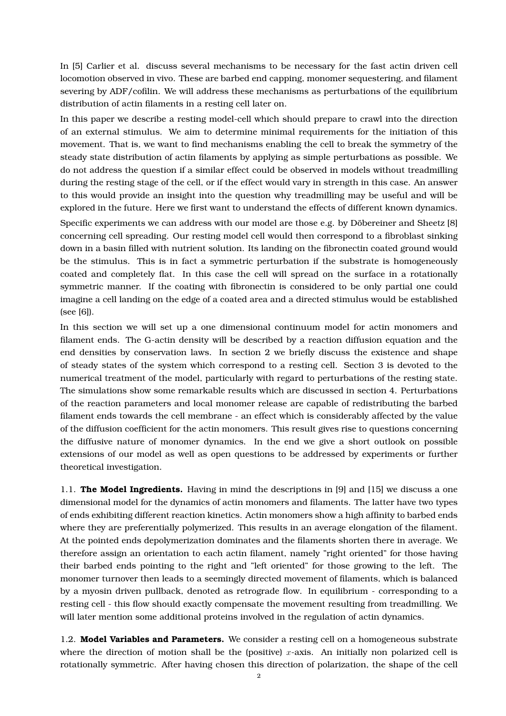In [5] Carlier et al. discuss several mechanisms to be necessary for the fast actin driven cell locomotion observed in vivo. These are barbed end capping, monomer sequestering, and filament severing by ADF/cofilin. We will address these mechanisms as perturbations of the equilibrium distribution of actin filaments in a resting cell later on.

In this paper we describe a resting model-cell which should prepare to crawl into the direction of an external stimulus. We aim to determine minimal requirements for the initiation of this movement. That is, we want to find mechanisms enabling the cell to break the symmetry of the steady state distribution of actin filaments by applying as simple perturbations as possible. We do not address the question if a similar effect could be observed in models without treadmilling during the resting stage of the cell, or if the effect would vary in strength in this case. An answer to this would provide an insight into the question why treadmilling may be useful and will be explored in the future. Here we first want to understand the effects of different known dynamics.

Specific experiments we can address with our model are those e.g. by Döbereiner and Sheetz [8] concerning cell spreading. Our resting model cell would then correspond to a fibroblast sinking down in a basin filled with nutrient solution. Its landing on the fibronectin coated ground would be the stimulus. This is in fact a symmetric perturbation if the substrate is homogeneously coated and completely flat. In this case the cell will spread on the surface in a rotationally symmetric manner. If the coating with fibronectin is considered to be only partial one could imagine a cell landing on the edge of a coated area and a directed stimulus would be established (see [6]).

In this section we will set up a one dimensional continuum model for actin monomers and filament ends. The G-actin density will be described by a reaction diffusion equation and the end densities by conservation laws. In section 2 we briefly discuss the existence and shape of steady states of the system which correspond to a resting cell. Section 3 is devoted to the numerical treatment of the model, particularly with regard to perturbations of the resting state. The simulations show some remarkable results which are discussed in section 4. Perturbations of the reaction parameters and local monomer release are capable of redistributing the barbed filament ends towards the cell membrane - an effect which is considerably affected by the value of the diffusion coefficient for the actin monomers. This result gives rise to questions concerning the diffusive nature of monomer dynamics. In the end we give a short outlook on possible extensions of our model as well as open questions to be addressed by experiments or further theoretical investigation.

1.1. **The Model Ingredients.** Having in mind the descriptions in [9] and [15] we discuss a one dimensional model for the dynamics of actin monomers and filaments. The latter have two types of ends exhibiting different reaction kinetics. Actin monomers show a high affinity to barbed ends where they are preferentially polymerized. This results in an average elongation of the filament. At the pointed ends depolymerization dominates and the filaments shorten there in average. We therefore assign an orientation to each actin filament, namely "right oriented" for those having their barbed ends pointing to the right and "left oriented" for those growing to the left. The monomer turnover then leads to a seemingly directed movement of filaments, which is balanced by a myosin driven pullback, denoted as retrograde flow. In equilibrium - corresponding to a resting cell - this flow should exactly compensate the movement resulting from treadmilling. We will later mention some additional proteins involved in the regulation of actin dynamics.

1.2. **Model Variables and Parameters.** We consider a resting cell on a homogeneous substrate where the direction of motion shall be the (positive)  $x$ -axis. An initially non polarized cell is rotationally symmetric. After having chosen this direction of polarization, the shape of the cell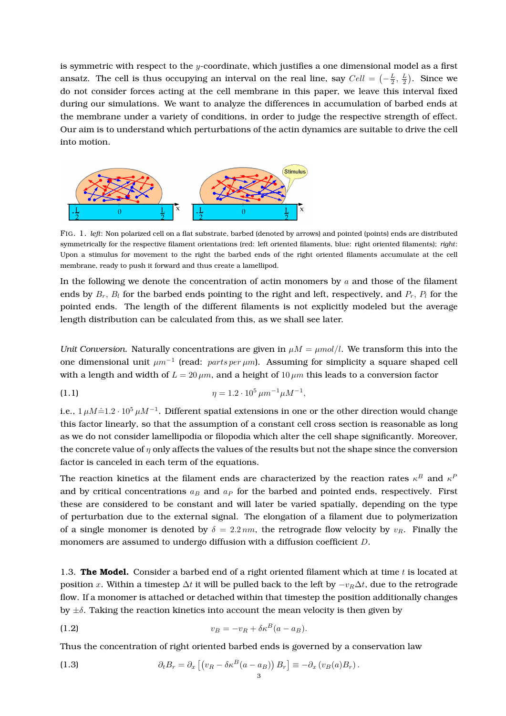is symmetric with respect to the  $y$ -coordinate, which justifies a one dimensional model as a first ansatz. The cell is thus occupying an interval on the real line, say  $Cell = \left(-\frac{L}{2}, \frac{L}{2}\right)$ . Since we do not consider forces acting at the cell membrane in this paper, we leave this interval fixed during our simulations. We want to analyze the differences in accumulation of barbed ends at the membrane under a variety of conditions, in order to judge the respective strength of effect. Our aim is to understand which perturbations of the actin dynamics are suitable to drive the cell into motion.



FIG. 1. *left*: Non polarized cell on a flat substrate, barbed (denoted by arrows) and pointed (points) ends are distributed symmetrically for the respective filament orientations (red: left oriented filaments, blue: right oriented filaments); *right*: Upon a stimulus for movement to the right the barbed ends of the right oriented filaments accumulate at the cell membrane, ready to push it forward and thus create a lamellipod.

In the following we denote the concentration of actin monomers by  $a$  and those of the filament ends by  $B_r$ ,  $B_l$  for the barbed ends pointing to the right and left, respectively, and  $P_r$ ,  $P_l$  for the pointed ends. The length of the different filaments is not explicitly modeled but the average length distribution can be calculated from this, as we shall see later.

*Unit Conversion.* Naturally concentrations are given in  $\mu M = \mu mol/l$ . We transform this into the one dimensional unit  $\mu m^{-1}$  (read:  $parts per \mu m$ ). Assuming for simplicity a square shaped cell with a length and width of  $L = 20 \mu m$ , and a height of  $10 \mu m$  this leads to a conversion factor

(1.1) 
$$
\eta = 1.2 \cdot 10^5 \,\mu m^{-1} \mu M^{-1},
$$

i.e., 1 µM $\hat{=}$ 1.2 · 10 $^5$  µM $^{-1}$ . Different spatial extensions in one or the other direction would change this factor linearly, so that the assumption of a constant cell cross section is reasonable as long as we do not consider lamellipodia or filopodia which alter the cell shape significantly. Moreover, the concrete value of  $\eta$  only affects the values of the results but not the shape since the conversion factor is canceled in each term of the equations.

The reaction kinetics at the filament ends are characterized by the reaction rates  $\kappa^B$  and  $\kappa^F$ and by critical concentrations  $a_B$  and  $a_P$  for the barbed and pointed ends, respectively. First these are considered to be constant and will later be varied spatially, depending on the type of perturbation due to the external signal. The elongation of a filament due to polymerization of a single monomer is denoted by  $\delta = 2.2 \text{ nm}$ , the retrograde flow velocity by  $v_R$ . Finally the monomers are assumed to undergo diffusion with a diffusion coefficient D.

1.3. **The Model.** Consider a barbed end of a right oriented filament which at time  $t$  is located at position x. Within a timestep  $\Delta t$  it will be pulled back to the left by  $-v_R\Delta t$ , due to the retrograde flow. If a monomer is attached or detached within that timestep the position additionally changes by  $\pm \delta$ . Taking the reaction kinetics into account the mean velocity is then given by

$$
v_B = -v_R + \delta \kappa^B (a - a_B).
$$

Thus the concentration of right oriented barbed ends is governed by a conservation law

(1.3) 
$$
\partial_t B_r = \partial_x \left[ \left( v_R - \delta \kappa^B (a - a_B) \right) B_r \right] \equiv -\partial_x \left( v_B(a) B_r \right).
$$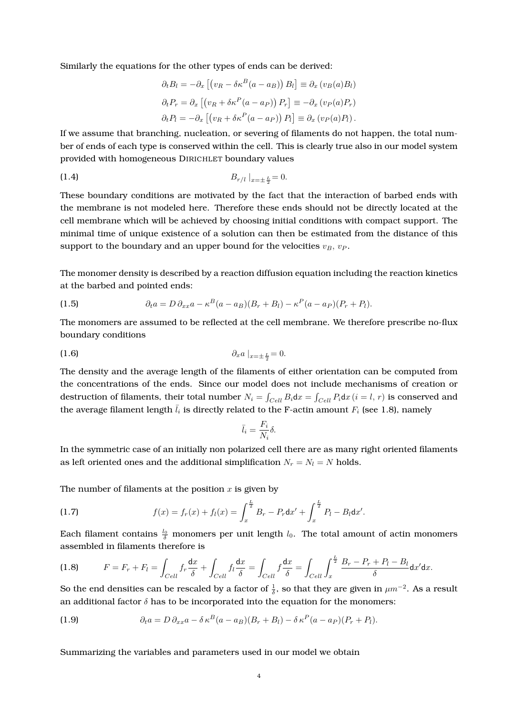Similarly the equations for the other types of ends can be derived:

$$
\partial_t B_l = -\partial_x \left[ \left( v_R - \delta \kappa^B (a - a_B) \right) B_l \right] \equiv \partial_x \left( v_B(a) B_l \right)
$$
  

$$
\partial_t P_r = \partial_x \left[ \left( v_R + \delta \kappa^P (a - a_P) \right) P_r \right] \equiv -\partial_x \left( v_P(a) P_r \right)
$$
  

$$
\partial_t P_l = -\partial_x \left[ \left( v_R + \delta \kappa^P (a - a_P) \right) P_l \right] \equiv \partial_x \left( v_P(a) P_l \right).
$$

If we assume that branching, nucleation, or severing of filaments do not happen, the total number of ends of each type is conserved within the cell. This is clearly true also in our model system provided with homogeneous DIRICHLET boundary values

(1.4) 
$$
B_{r/l} \big|_{x=\pm \frac{L}{2}} = 0.
$$

These boundary conditions are motivated by the fact that the interaction of barbed ends with the membrane is not modeled here. Therefore these ends should not be directly located at the cell membrane which will be achieved by choosing initial conditions with compact support. The minimal time of unique existence of a solution can then be estimated from the distance of this support to the boundary and an upper bound for the velocities  $v_B$ ,  $v_P$ .

The monomer density is described by a reaction diffusion equation including the reaction kinetics at the barbed and pointed ends:

(1.5) 
$$
\partial_t a = D \partial_{xx} a - \kappa^B (a - a_B)(B_r + B_l) - \kappa^P (a - a_P)(P_r + P_l).
$$

The monomers are assumed to be reflected at the cell membrane. We therefore prescribe no-flux boundary conditions

$$
\partial_x a \big|_{x=\pm \frac{L}{2}} = 0.
$$

The density and the average length of the filaments of either orientation can be computed from the concentrations of the ends. Since our model does not include mechanisms of creation or destruction of filaments, their total number  $N_i = \int_{Cell} B_i dx = \int_{Cell} P_i dx$   $(i = l, r)$  is conserved and the average filament length  $\overline{l}_i$  is directly related to the F-actin amount  $F_i$  (see 1.8), namely

$$
\bar{l}_i = \frac{F_i}{N_i} \delta.
$$

In the symmetric case of an initially non polarized cell there are as many right oriented filaments as left oriented ones and the additional simplification  $N_r = N_l = N$  holds.

The number of filaments at the position  $x$  is given by

(1.7) 
$$
f(x) = f_r(x) + f_l(x) = \int_x^{\frac{L}{2}} B_r - P_r dx' + \int_x^{\frac{L}{2}} P_l - B_l dx'.
$$

Each filament contains  $\frac{l_0}{\delta}$  monomers per unit length  $l_0$ . The total amount of actin monomers assembled in filaments therefore is

$$
(1.8) \tF = F_r + F_l = \int_{Cell} f_r \frac{dx}{\delta} + \int_{Cell} f_l \frac{dx}{\delta} = \int_{Cell} f \frac{dx}{\delta} = \int_{Cell} \int_x^{\frac{L}{2}} \frac{B_r - P_r + P_l - B_l}{\delta} dx' dx.
$$

So the end densities can be rescaled by a factor of  $\frac{1}{\delta}$ , so that they are given in  $\mu m^{-2}$ . As a result an additional factor  $\delta$  has to be incorporated into the equation for the monomers:

(1.9) 
$$
\partial_t a = D \, \partial_{xx} a - \delta \kappa^B (a - a_B) (B_r + B_l) - \delta \kappa^P (a - a_P) (P_r + P_l).
$$

Summarizing the variables and parameters used in our model we obtain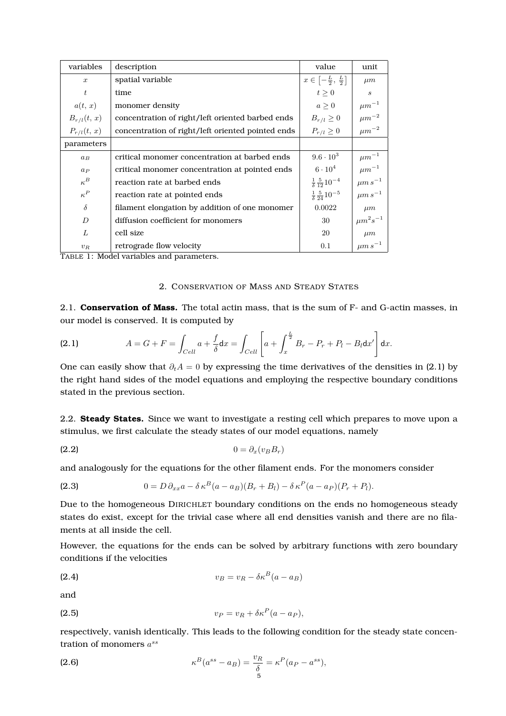| variables        | description                                       | value                                          | unit                        |
|------------------|---------------------------------------------------|------------------------------------------------|-----------------------------|
| $\boldsymbol{x}$ | spatial variable                                  | $x \in \left[-\frac{L}{2}, \frac{L}{2}\right]$ | $\mu m$                     |
| t                | time                                              | $t\geq 0$                                      | $\mathcal{S}_{\mathcal{S}}$ |
| a(t, x)          | monomer density                                   | a > 0                                          | $\mu m^{-1}$                |
| $B_{r/l}(t, x)$  | concentration of right/left oriented barbed ends  | $B_{r/l} \geq 0$                               | $\mu m^{-2}$                |
| $P_{r/l}(t, x)$  | concentration of right/left oriented pointed ends | $P_{r/l} \geq 0$                               | $\mu m^{-2}$                |
| parameters       |                                                   |                                                |                             |
| $a_B$            | critical monomer concentration at barbed ends     | $9.6 \cdot 10^{3}$                             | $\mu m^{-1}$                |
| $a_{P}$          | critical monomer concentration at pointed ends    | $6\cdot 10^4$                                  | $\mu m^{-1}$                |
| $\kappa^B$       | reaction rate at barbed ends                      | $\frac{1}{\delta} \frac{5}{12} 10^{-4}$        | $\mu m s^{-1}$              |
| $\kappa^P$       | reaction rate at pointed ends                     | $\frac{1}{\delta} \frac{5}{24} 10^{-5}$        | $\mu m s^{-1}$              |
| $\delta$         | filament elongation by addition of one monomer    | 0.0022                                         | $\mu m$                     |
| D                | diffusion coefficient for monomers                | 30                                             | $\mu m^2 s^{-1}$            |
| L                | cell size                                         | 20                                             | $\mu m$                     |
| $v_R$            | retrograde flow velocity<br>$\sim$ $\sim$ $\sim$  | 0.1                                            | $\mu m s^{-1}$              |

TABLE 1: Model variables and parameters.

#### 2. CONSERVATION OF MASS AND STEADY STATES

2.1. **Conservation of Mass.** The total actin mass, that is the sum of F- and G-actin masses, in our model is conserved. It is computed by

(2.1) 
$$
A = G + F = \int_{Cell} a + \frac{f}{\delta} dx = \int_{Cell} \left[ a + \int_x^{\frac{L}{2}} B_r - P_r + P_l - B_l dx' \right] dx.
$$

One can easily show that  $\partial_t A = 0$  by expressing the time derivatives of the densities in (2.1) by the right hand sides of the model equations and employing the respective boundary conditions stated in the previous section.

2.2. **Steady States.** Since we want to investigate a resting cell which prepares to move upon a stimulus, we first calculate the steady states of our model equations, namely

$$
(2.2) \t\t 0 = \partial_x (v_B B_r)
$$

and analogously for the equations for the other filament ends. For the monomers consider

(2.3) 
$$
0 = D \, \partial_{xx} a - \delta \, \kappa^B (a - a_B) (B_r + B_l) - \delta \, \kappa^P (a - a_P) (P_r + P_l).
$$

Due to the homogeneous DIRICHLET boundary conditions on the ends no homogeneous steady states do exist, except for the trivial case where all end densities vanish and there are no filaments at all inside the cell.

However, the equations for the ends can be solved by arbitrary functions with zero boundary conditions if the velocities

$$
v_B = v_R - \delta \kappa^B (a - a_B)
$$

and

$$
(2.5) \t\t v_P = v_R + \delta \kappa^P (a - a_P),
$$

respectively, vanish identically. This leads to the following condition for the steady state concentration of monomers  $a^{ss}$ 

(2.6) 
$$
\kappa^B(a^{ss} - a_B) = \frac{v_R}{\delta} = \kappa^P(a_P - a^{ss}),
$$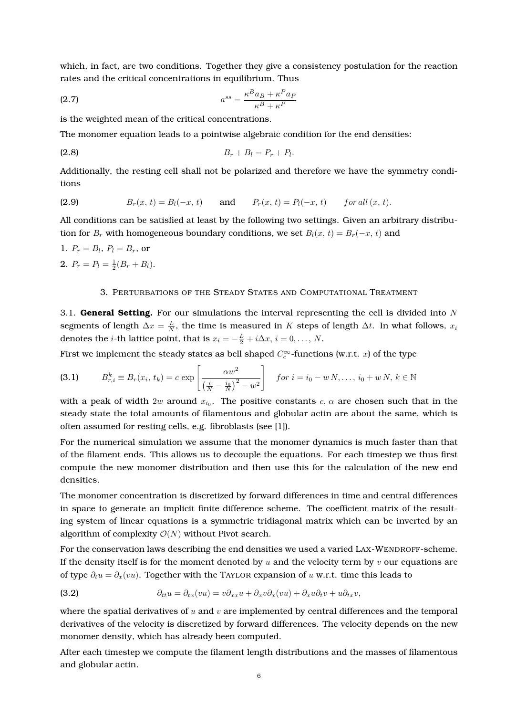which, in fact, are two conditions. Together they give a consistency postulation for the reaction rates and the critical concentrations in equilibrium. Thus

$$
a^{ss} = \frac{\kappa^B a_B + \kappa^P a_P}{\kappa^B + \kappa^P}
$$

is the weighted mean of the critical concentrations.

The monomer equation leads to a pointwise algebraic condition for the end densities:

(2.8) 
$$
B_r + B_l = P_r + P_l.
$$

Additionally, the resting cell shall not be polarized and therefore we have the symmetry conditions

(2.9) 
$$
B_r(x, t) = B_l(-x, t) \quad \text{and} \quad P_r(x, t) = P_l(-x, t) \quad \text{for all } (x, t).
$$

All conditions can be satisfied at least by the following two settings. Given an arbitrary distribution for  $B_r$  with homogeneous boundary conditions, we set  $B_l(x, t) = B_r(-x, t)$  and

1.  $P_r = B_l$ ,  $P_l = B_r$ , or 2.  $P_r = P_l = \frac{1}{2}(B_r + B_l).$ 

#### 3. PERTURBATIONS OF THE STEADY STATES AND COMPUTATIONAL TREATMENT

3.1. **General Setting.** For our simulations the interval representing the cell is divided into N segments of length  $\Delta x = \frac{L}{N}$ , the time is measured in K steps of length  $\Delta t$ . In what follows,  $x_i$ denotes the *i*-th lattice point, that is  $x_i = -\frac{L}{2} + i\Delta x$ ,  $i = 0, ..., N$ .

First we implement the steady states as bell shaped  $C_c^{\infty}$ -functions (w.r.t. *x*) of the type

$$
\textbf{(3.1)} \qquad \quad B_{r,i}^k \equiv B_r(x_i,\,t_k) = c \, \exp\left[\frac{\alpha w^2}{\left(\frac{i}{N} - \frac{i_0}{N}\right)^2 - w^2}\right] \quad \text{for } i = i_0 - w \, N, \ldots, \, i_0 + w \, N, \, k \in \mathbb{N}
$$

with a peak of width  $2w$  around  $x_{i_0}.$  The positive constants  $c,\,\alpha$  are chosen such that in the steady state the total amounts of filamentous and globular actin are about the same, which is often assumed for resting cells, e.g. fibroblasts (see [1]).

For the numerical simulation we assume that the monomer dynamics is much faster than that of the filament ends. This allows us to decouple the equations. For each timestep we thus first compute the new monomer distribution and then use this for the calculation of the new end densities.

The monomer concentration is discretized by forward differences in time and central differences in space to generate an implicit finite difference scheme. The coefficient matrix of the resulting system of linear equations is a symmetric tridiagonal matrix which can be inverted by an algorithm of complexity  $\mathcal{O}(N)$  without Pivot search.

For the conservation laws describing the end densities we used a varied LAX-WENDROFF-scheme. If the density itself is for the moment denoted by  $u$  and the velocity term by  $v$  our equations are of type  $\partial_t u = \partial_x(vu)$ . Together with the TAYLOR expansion of u w.r.t. time this leads to

(3.2) 
$$
\partial_{tt}u = \partial_{tx}(vu) = v\partial_{xx}u + \partial_x v\partial_x(vu) + \partial_x u\partial_t v + u\partial_{tx}v,
$$

where the spatial derivatives of  $u$  and  $v$  are implemented by central differences and the temporal derivatives of the velocity is discretized by forward differences. The velocity depends on the new monomer density, which has already been computed.

After each timestep we compute the filament length distributions and the masses of filamentous and globular actin.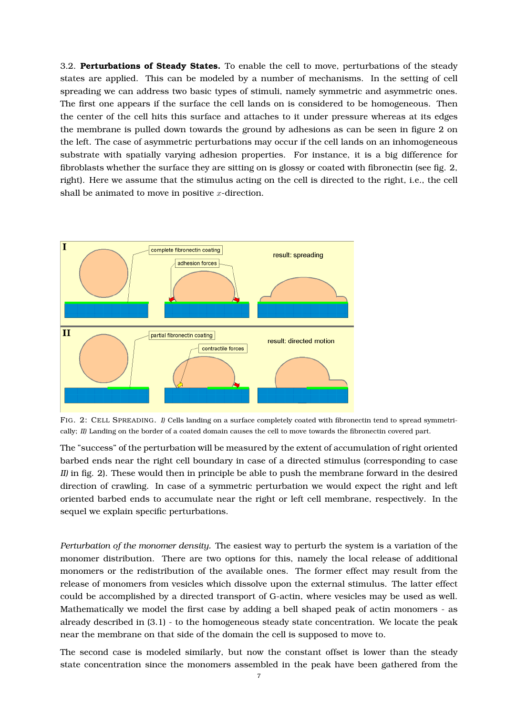3.2. **Perturbations of Steady States.** To enable the cell to move, perturbations of the steady states are applied. This can be modeled by a number of mechanisms. In the setting of cell spreading we can address two basic types of stimuli, namely symmetric and asymmetric ones. The first one appears if the surface the cell lands on is considered to be homogeneous. Then the center of the cell hits this surface and attaches to it under pressure whereas at its edges the membrane is pulled down towards the ground by adhesions as can be seen in figure 2 on the left. The case of asymmetric perturbations may occur if the cell lands on an inhomogeneous substrate with spatially varying adhesion properties. For instance, it is a big difference for fibroblasts whether the surface they are sitting on is glossy or coated with fibronectin (see fig. 2, right). Here we assume that the stimulus acting on the cell is directed to the right, i.e., the cell shall be animated to move in positive  $x$ -direction.



FIG. 2: CELL SPREADING. *I)* Cells landing on a surface completely coated with fibronectin tend to spread symmetrically; *II)* Landing on the border of a coated domain causes the cell to move towards the fibronectin covered part.

The "success" of the perturbation will be measured by the extent of accumulation of right oriented barbed ends near the right cell boundary in case of a directed stimulus (corresponding to case *II)* in fig. 2). These would then in principle be able to push the membrane forward in the desired direction of crawling. In case of a symmetric perturbation we would expect the right and left oriented barbed ends to accumulate near the right or left cell membrane, respectively. In the sequel we explain specific perturbations.

*Perturbation of the monomer density.* The easiest way to perturb the system is a variation of the monomer distribution. There are two options for this, namely the local release of additional monomers or the redistribution of the available ones. The former effect may result from the release of monomers from vesicles which dissolve upon the external stimulus. The latter effect could be accomplished by a directed transport of G-actin, where vesicles may be used as well. Mathematically we model the first case by adding a bell shaped peak of actin monomers - as already described in (3.1) - to the homogeneous steady state concentration. We locate the peak near the membrane on that side of the domain the cell is supposed to move to.

The second case is modeled similarly, but now the constant offset is lower than the steady state concentration since the monomers assembled in the peak have been gathered from the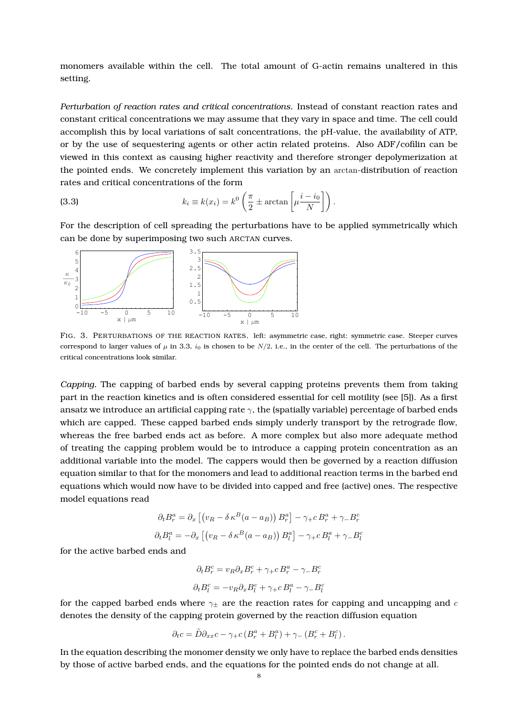monomers available within the cell. The total amount of G-actin remains unaltered in this setting.

*Perturbation of reaction rates and critical concentrations.* Instead of constant reaction rates and constant critical concentrations we may assume that they vary in space and time. The cell could accomplish this by local variations of salt concentrations, the pH-value, the availability of ATP, or by the use of sequestering agents or other actin related proteins. Also ADF/cofilin can be viewed in this context as causing higher reactivity and therefore stronger depolymerization at the pointed ends. We concretely implement this variation by an arctan-distribution of reaction rates and critical concentrations of the form

(3.3) 
$$
k_i \equiv k(x_i) = k^0 \left( \frac{\pi}{2} \pm \arctan \left[ \mu \frac{i - i_0}{N} \right] \right).
$$

For the description of cell spreading the perturbations have to be applied symmetrically which can be done by superimposing two such ARCTAN curves.



FIG. 3. PERTURBATIONS OF THE REACTION RATES. left: asymmetric case, right: symmetric case. Steeper curves correspond to larger values of  $\mu$  in 3.3,  $i_0$  is chosen to be  $N/2$ , i.e., in the center of the cell. The perturbations of the critical concentrations look similar.

*Capping.* The capping of barbed ends by several capping proteins prevents them from taking part in the reaction kinetics and is often considered essential for cell motility (see [5]). As a first ansatz we introduce an artificial capping rate  $\gamma$ , the (spatially variable) percentage of barbed ends which are capped. These capped barbed ends simply underly transport by the retrograde flow, whereas the free barbed ends act as before. A more complex but also more adequate method of treating the capping problem would be to introduce a capping protein concentration as an additional variable into the model. The cappers would then be governed by a reaction diffusion equation similar to that for the monomers and lead to additional reaction terms in the barbed end equations which would now have to be divided into capped and free (active) ones. The respective model equations read

$$
\partial_t B_r^a = \partial_x \left[ \left( v_R - \delta \kappa^B (a - a_B) \right) B_r^a \right] - \gamma_+ c B_r^a + \gamma_- B_r^c
$$

$$
\partial_t B_l^a = -\partial_x \left[ \left( v_R - \delta \kappa^B (a - a_B) \right) B_l^a \right] - \gamma_+ c B_l^a + \gamma_- B_l^c
$$

for the active barbed ends and

$$
\partial_t B_r^c = v_R \partial_x B_r^c + \gamma_+ c B_r^a - \gamma_- B_r^c
$$

$$
\partial_t B_l^c = -v_R \partial_x B_l^c + \gamma_+ c B_l^a - \gamma_- B_l^c
$$

for the capped barbed ends where  $\gamma_+$  are the reaction rates for capping and uncapping and c denotes the density of the capping protein governed by the reaction diffusion equation

$$
\partial_t c = \tilde{D} \partial_{xx} c - \gamma_+ c \left( B_r^a + B_l^a \right) + \gamma_- \left( B_r^c + B_l^c \right).
$$

In the equation describing the monomer density we only have to replace the barbed ends densities by those of active barbed ends, and the equations for the pointed ends do not change at all.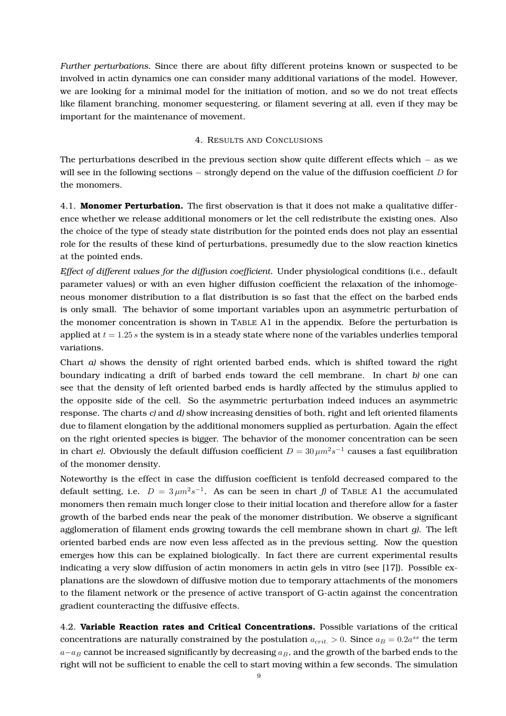*Further perturbations.* Since there are about fifty different proteins known or suspected to be involved in actin dynamics one can consider many additional variations of the model. However, we are looking for a minimal model for the initiation of motion, and so we do not treat effects like filament branching, monomer sequestering, or filament severing at all, even if they may be important for the maintenance of movement.

#### 4. RESULTS AND CONCLUSIONS

The perturbations described in the previous section show quite different effects which − as we will see in the following sections  $-$  strongly depend on the value of the diffusion coefficient D for the monomers.

4.1. **Monomer Perturbation.** The first observation is that it does not make a qualitative difference whether we release additional monomers or let the cell redistribute the existing ones. Also the choice of the type of steady state distribution for the pointed ends does not play an essential role for the results of these kind of perturbations, presumedly due to the slow reaction kinetics at the pointed ends.

*Effect of different values for the diffusion coefficient.* Under physiological conditions (i.e., default parameter values) or with an even higher diffusion coefficient the relaxation of the inhomogeneous monomer distribution to a flat distribution is so fast that the effect on the barbed ends is only small. The behavior of some important variables upon an asymmetric perturbation of the monomer concentration is shown in TABLE A1 in the appendix. Before the perturbation is applied at  $t = 1.25 s$  the system is in a steady state where none of the variables underlies temporal variations.

Chart *a)* shows the density of right oriented barbed ends, which is shifted toward the right boundary indicating a drift of barbed ends toward the cell membrane. In chart *b)* one can see that the density of left oriented barbed ends is hardly affected by the stimulus applied to the opposite side of the cell. So the asymmetric perturbation indeed induces an asymmetric response. The charts *c)* and *d)* show increasing densities of both, right and left oriented filaments due to filament elongation by the additional monomers supplied as perturbation. Again the effect on the right oriented species is bigger. The behavior of the monomer concentration can be seen in chart *e*). Obviously the default diffusion coefficient  $D = 30 \,\mu m^2 s^{-1}$  causes a fast equilibration of the monomer density.

Noteworthy is the effect in case the diffusion coefficient is tenfold decreased compared to the default setting, i.e.  $D = 3 \mu m^2 s^{-1}$ . As can be seen in chart *f*) of TABLE A1 the accumulated monomers then remain much longer close to their initial location and therefore allow for a faster growth of the barbed ends near the peak of the monomer distribution. We observe a significant agglomeration of filament ends growing towards the cell membrane shown in chart *g)*. The left oriented barbed ends are now even less affected as in the previous setting. Now the question emerges how this can be explained biologically. In fact there are current experimental results indicating a very slow diffusion of actin monomers in actin gels in vitro (see [17]). Possible explanations are the slowdown of diffusive motion due to temporary attachments of the monomers to the filament network or the presence of active transport of G-actin against the concentration gradient counteracting the diffusive effects.

4.2. **Variable Reaction rates and Critical Concentrations.** Possible variations of the critical concentrations are naturally constrained by the postulation  $a_{crit.} > 0$ . Since  $a_B = 0.2a^{ss}$  the term  $a-a_B$  cannot be increased significantly by decreasing  $a_B$ , and the growth of the barbed ends to the right will not be sufficient to enable the cell to start moving within a few seconds. The simulation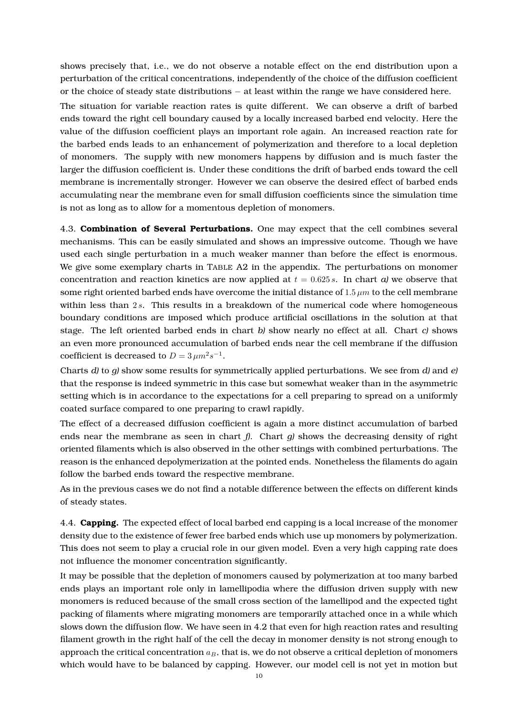shows precisely that, i.e., we do not observe a notable effect on the end distribution upon a perturbation of the critical concentrations, independently of the choice of the diffusion coefficient or the choice of steady state distributions − at least within the range we have considered here.

The situation for variable reaction rates is quite different. We can observe a drift of barbed ends toward the right cell boundary caused by a locally increased barbed end velocity. Here the value of the diffusion coefficient plays an important role again. An increased reaction rate for the barbed ends leads to an enhancement of polymerization and therefore to a local depletion of monomers. The supply with new monomers happens by diffusion and is much faster the larger the diffusion coefficient is. Under these conditions the drift of barbed ends toward the cell membrane is incrementally stronger. However we can observe the desired effect of barbed ends accumulating near the membrane even for small diffusion coefficients since the simulation time is not as long as to allow for a momentous depletion of monomers.

4.3. **Combination of Several Perturbations.** One may expect that the cell combines several mechanisms. This can be easily simulated and shows an impressive outcome. Though we have used each single perturbation in a much weaker manner than before the effect is enormous. We give some exemplary charts in TABLE A2 in the appendix. The perturbations on monomer concentration and reaction kinetics are now applied at  $t = 0.625 s$ . In chart *a*) we observe that some right oriented barbed ends have overcome the initial distance of  $1.5 \mu m$  to the cell membrane within less than  $2s$ . This results in a breakdown of the numerical code where homogeneous boundary conditions are imposed which produce artificial oscillations in the solution at that stage. The left oriented barbed ends in chart *b)* show nearly no effect at all. Chart *c)* shows an even more pronounced accumulation of barbed ends near the cell membrane if the diffusion coefficient is decreased to  $D = 3 \mu m^2 s^{-1}$ .

Charts *d)* to *g)* show some results for symmetrically applied perturbations. We see from *d)* and *e)* that the response is indeed symmetric in this case but somewhat weaker than in the asymmetric setting which is in accordance to the expectations for a cell preparing to spread on a uniformly coated surface compared to one preparing to crawl rapidly.

The effect of a decreased diffusion coefficient is again a more distinct accumulation of barbed ends near the membrane as seen in chart *f)*. Chart *g)* shows the decreasing density of right oriented filaments which is also observed in the other settings with combined perturbations. The reason is the enhanced depolymerization at the pointed ends. Nonetheless the filaments do again follow the barbed ends toward the respective membrane.

As in the previous cases we do not find a notable difference between the effects on different kinds of steady states.

4.4. **Capping.** The expected effect of local barbed end capping is a local increase of the monomer density due to the existence of fewer free barbed ends which use up monomers by polymerization. This does not seem to play a crucial role in our given model. Even a very high capping rate does not influence the monomer concentration significantly.

It may be possible that the depletion of monomers caused by polymerization at too many barbed ends plays an important role only in lamellipodia where the diffusion driven supply with new monomers is reduced because of the small cross section of the lamellipod and the expected tight packing of filaments where migrating monomers are temporarily attached once in a while which slows down the diffusion flow. We have seen in 4.2 that even for high reaction rates and resulting filament growth in the right half of the cell the decay in monomer density is not strong enough to approach the critical concentration  $a_B$ , that is, we do not observe a critical depletion of monomers which would have to be balanced by capping. However, our model cell is not yet in motion but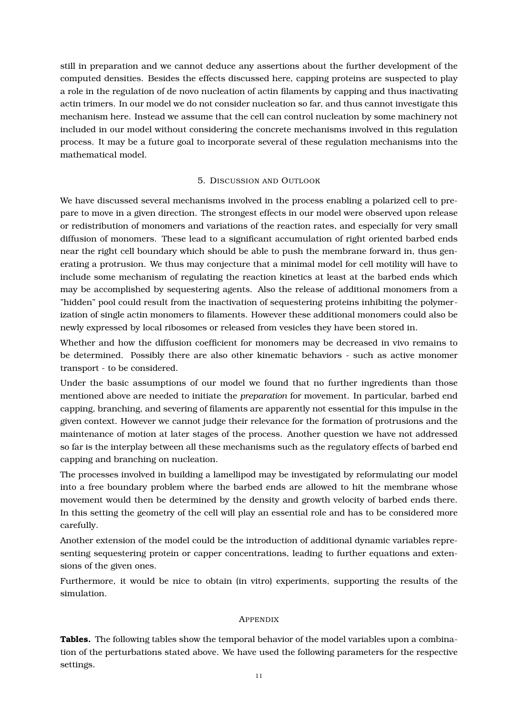still in preparation and we cannot deduce any assertions about the further development of the computed densities. Besides the effects discussed here, capping proteins are suspected to play a role in the regulation of de novo nucleation of actin filaments by capping and thus inactivating actin trimers. In our model we do not consider nucleation so far, and thus cannot investigate this mechanism here. Instead we assume that the cell can control nucleation by some machinery not included in our model without considering the concrete mechanisms involved in this regulation process. It may be a future goal to incorporate several of these regulation mechanisms into the mathematical model.

## 5. DISCUSSION AND OUTLOOK

We have discussed several mechanisms involved in the process enabling a polarized cell to prepare to move in a given direction. The strongest effects in our model were observed upon release or redistribution of monomers and variations of the reaction rates, and especially for very small diffusion of monomers. These lead to a significant accumulation of right oriented barbed ends near the right cell boundary which should be able to push the membrane forward in, thus generating a protrusion. We thus may conjecture that a minimal model for cell motility will have to include some mechanism of regulating the reaction kinetics at least at the barbed ends which may be accomplished by sequestering agents. Also the release of additional monomers from a "hidden" pool could result from the inactivation of sequestering proteins inhibiting the polymerization of single actin monomers to filaments. However these additional monomers could also be newly expressed by local ribosomes or released from vesicles they have been stored in.

Whether and how the diffusion coefficient for monomers may be decreased in vivo remains to be determined. Possibly there are also other kinematic behaviors - such as active monomer transport - to be considered.

Under the basic assumptions of our model we found that no further ingredients than those mentioned above are needed to initiate the *preparation* for movement. In particular, barbed end capping, branching, and severing of filaments are apparently not essential for this impulse in the given context. However we cannot judge their relevance for the formation of protrusions and the maintenance of motion at later stages of the process. Another question we have not addressed so far is the interplay between all these mechanisms such as the regulatory effects of barbed end capping and branching on nucleation.

The processes involved in building a lamellipod may be investigated by reformulating our model into a free boundary problem where the barbed ends are allowed to hit the membrane whose movement would then be determined by the density and growth velocity of barbed ends there. In this setting the geometry of the cell will play an essential role and has to be considered more carefully.

Another extension of the model could be the introduction of additional dynamic variables representing sequestering protein or capper concentrations, leading to further equations and extensions of the given ones.

Furthermore, it would be nice to obtain (in vitro) experiments, supporting the results of the simulation.

# APPENDIX

**Tables.** The following tables show the temporal behavior of the model variables upon a combination of the perturbations stated above. We have used the following parameters for the respective settings.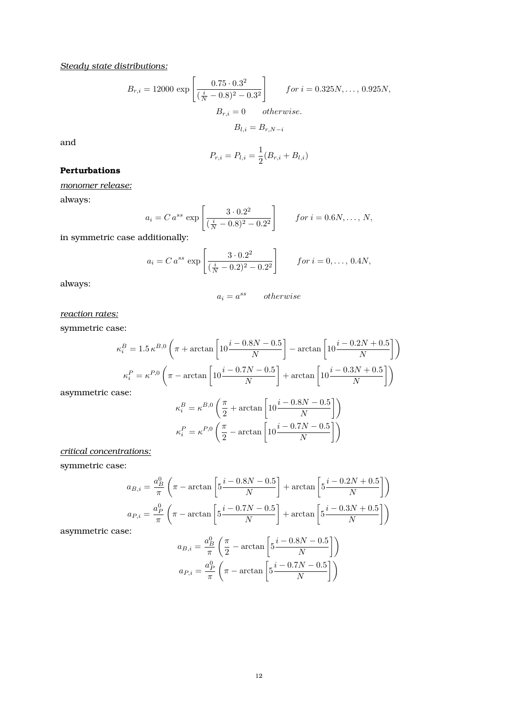*Steady state distributions:*

$$
B_{r,i} = 12000 \exp\left[\frac{0.75 \cdot 0.3^2}{(\frac{i}{N} - 0.8)^2 - 0.3^2}\right] \quad \text{for } i = 0.325N, \dots, 0.925N,
$$

$$
B_{r,i} = 0 \quad \text{otherwise.}
$$

$$
B_{l,i} = B_{r,N-i}
$$

and

$$
P_{r,i} = P_{l,i} = \frac{1}{2}(B_{r,i} + B_{l,i})
$$

# **Perturbations**

*monomer release:*

always:

$$
a_i = C a^{ss} \exp\left[\frac{3 \cdot 0.2^2}{(\frac{i}{N} - 0.8)^2 - 0.2^2}\right] \qquad \text{for } i = 0.6N, \dots, N,
$$

in symmetric case additionally:

$$
a_i = C a^{ss} \exp\left[\frac{3 \cdot 0.2^2}{(\frac{i}{N} - 0.2)^2 - 0.2^2}\right]
$$
 for  $i = 0, ..., 0.4N$ ,

always:

$$
a_i = a^{ss} \qquad otherwise
$$

*reaction rates:*

symmetric case:

$$
\kappa_i^B = 1.5 \,\kappa^{B,0} \left( \pi + \arctan\left[ 10 \frac{i - 0.8N - 0.5}{N} \right] - \arctan\left[ 10 \frac{i - 0.2N + 0.5}{N} \right] \right)
$$
\n
$$
\kappa_i^P = \kappa^{P,0} \left( \pi - \arctan\left[ 10 \frac{i - 0.7N - 0.5}{N} \right] + \arctan\left[ 10 \frac{i - 0.3N + 0.5}{N} \right] \right)
$$
\ntric case:

asymmetric case:

$$
\kappa_i^B = \kappa^{B,0} \left( \frac{\pi}{2} + \arctan \left[ 10 \frac{i - 0.8N - 0.5}{N} \right] \right)
$$

$$
\kappa_i^P = \kappa^{P,0} \left( \frac{\pi}{2} - \arctan \left[ 10 \frac{i - 0.7N - 0.5}{N} \right] \right)
$$

## *critical concentrations:*

symmetric case:

$$
a_{B,i} = \frac{a_B^0}{\pi} \left( \pi - \arctan\left[ 5\frac{i - 0.8N - 0.5}{N} \right] + \arctan\left[ 5\frac{i - 0.2N + 0.5}{N} \right] \right)
$$

$$
a_{P,i} = \frac{a_P^0}{\pi} \left( \pi - \arctan\left[ 5\frac{i - 0.7N - 0.5}{N} \right] + \arctan\left[ 5\frac{i - 0.3N + 0.5}{N} \right] \right)
$$

asymmetric case:

$$
a_{B,i} = \frac{a_B^0}{\pi} \left( \frac{\pi}{2} - \arctan\left[ 5 \frac{i - 0.8N - 0.5}{N} \right] \right)
$$

$$
a_{P,i} = \frac{a_P^0}{\pi} \left( \pi - \arctan\left[ 5 \frac{i - 0.7N - 0.5}{N} \right] \right)
$$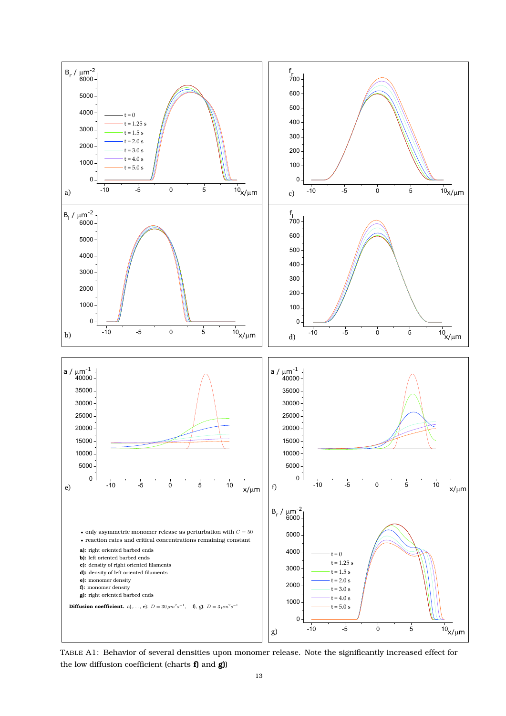

TABLE A1: Behavior of several densities upon monomer release. Note the significantly increased effect for the low diffusion coefficient (charts **f)** and **g)**)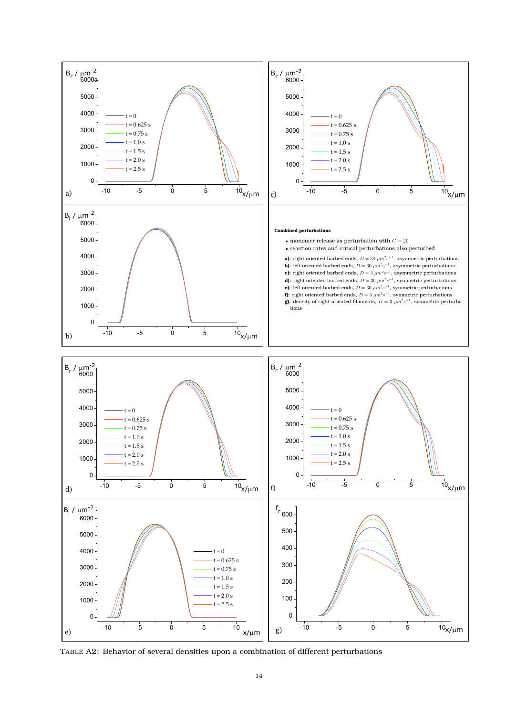

TABLE A2: Behavior of several densities upon a combination of different perturbations